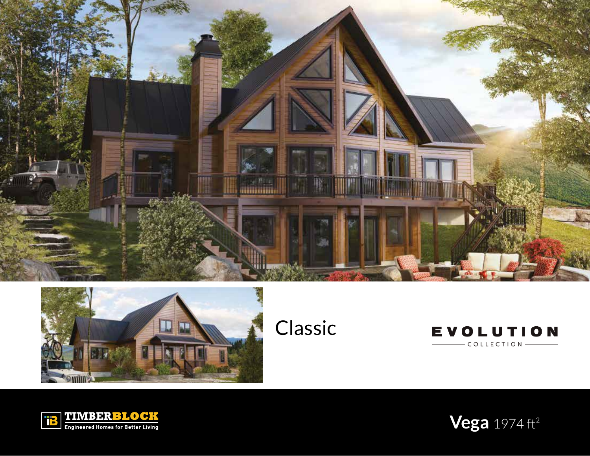





**TEMBERE OCK** 

**Vega** 1974 ft²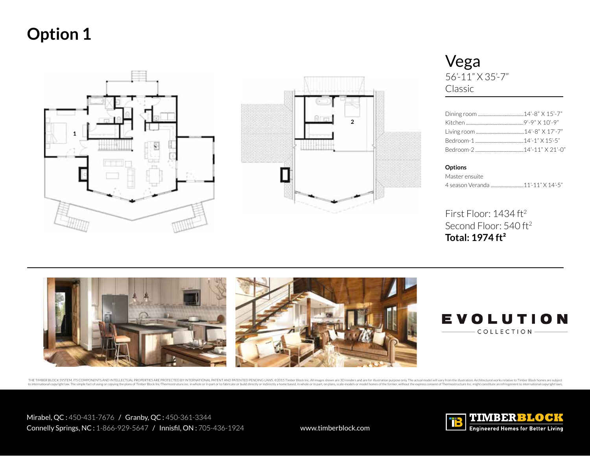



Vega 56'-11" X 35'-7" Classic

**Options** 

Master ensuite 4 season Veranda ............................11'-11" X 14'-5"

First Floor: 1434 ft<sup>2</sup> Second Floor: 540 ft<sup>2</sup> **Total: 1974 ft²**





THE TIMBER BLOCK SYSTEM, ITS COMPONENTS AND INTELLECTUAL PROPERTIES ARE PROTECTED BY INTERNATIONAL PATENTED PENDING LAWS. @2015 Timber Block Inc. All limages shown are 3D renders and are for illustration purpose only. The to international copyright law. The simple fact of using or copying the plans of Timber Block Inc/Thermostruture inc. in whole or in part or to fabricate or build directly or indirectly a home based, in whole or in part, o

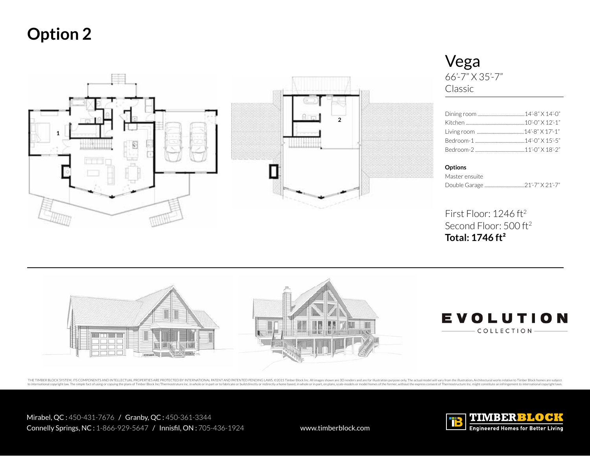

## Vega 66'-7" X 35'-7" Classic

**Options** 

Master ensuite Double Garage ..................................21'-7" X 21'-7"

First Floor: 1246 ft2 Second Floor: 500 ft2 **Total: 1746 ft²**



THE TIMBER BLOCK SYSTEM, ITS COMPONENTS AND INTELLECTUAL PROPERTIES ARE PROTECTED BY INTERNATIONAL PATENTED PENDING LAWS. @2015 Timber Block Inc. All images shown are 3D renders and are for illustration purpose only. The a to international copyright law. The simple fact of using or copying the plans of Timber Block Inc?Thermostruture inc. in whole or in part or to fabricate or build directly or indirectly a home based, in whole or in part, o

Mirabel, QC : 450-431-7676 / Granby, QC : 450-361-3344 Connelly Springs, NC: 1-866-929-5647 / Innisfil, ON: 705-436-1924 www.timberblock.com

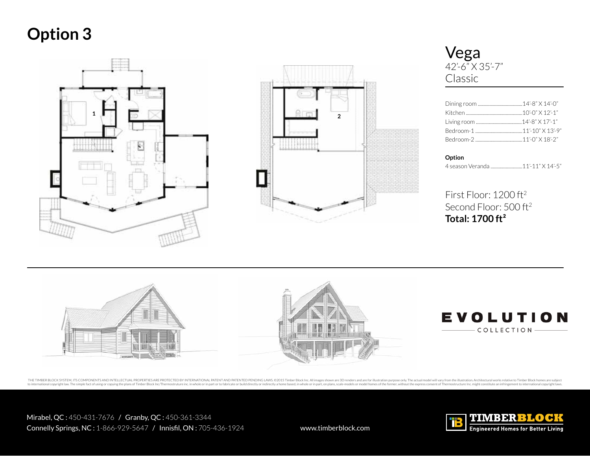



Vega 42'-6" X 35'-7" Classic

### **Option**

4 season Veranda ...........................11'-11" X 14'-5"

First Floor: 1200 ft2 Second Floor: 500 ft<sup>2</sup> **Total: 1700 ft²**



THE TIMBER BLOCK SYSTEM, ITS COMPONENTS AND INTELLECTUAL PROPERTIES ARE PROTECTED BY INTERNATIONAL PATENTED PENDING LAWS. @2015 Timber Block Inc. All limages shown are 3D renders and are for illustration purpose only. The national copyright law. The simple fact of using or copying the plans of Timber Block Inc/Thermostruture inc. in whole or in part or to fabricate or build directly or indirectly a home based, in whole or inpart, on plans,